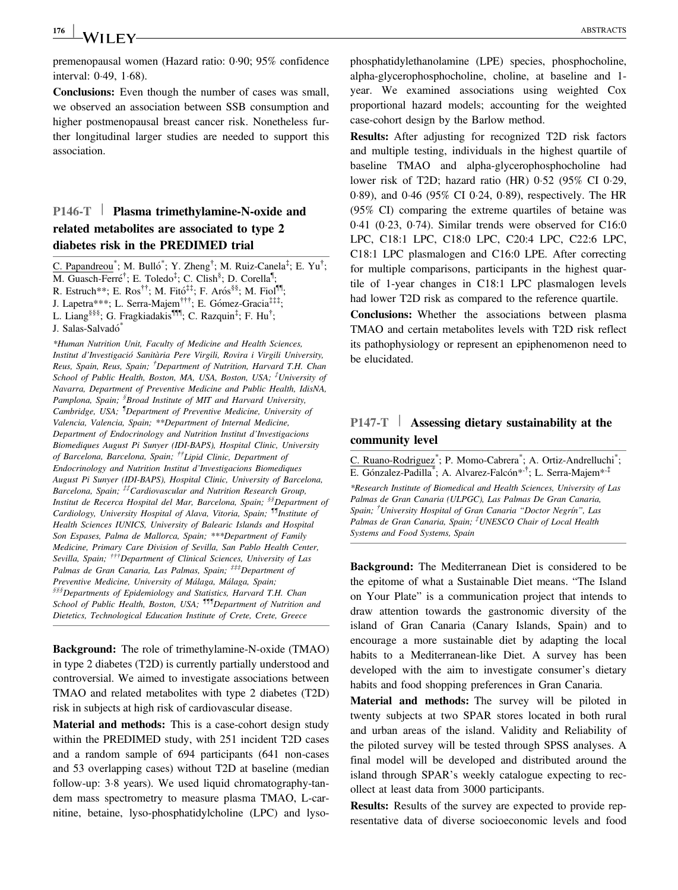$\frac{176}{128}$  Wii FV— $\frac{126}{128}$  abstracts

premenopausal women (Hazard ratio: 0.90; 95% confidence interval:  $0.49, 1.68$ ).

Conclusions: Even though the number of cases was small, we observed an association between SSB consumption and higher postmenopausal breast cancer risk. Nonetheless further longitudinal larger studies are needed to support this association.

## P146-T | Plasma trimethylamine-N-oxide and related metabolites are associated to type 2 diabetes risk in the PREDIMED trial

C. Papandreou<sup>\*</sup>; M. Bulló<sup>\*</sup>; Y. Zheng<sup>†</sup>; M. Ruiz-Canela<sup>‡</sup>; E. Yu<sup>†</sup>; M. Guasch-Ferré<sup>†</sup>; E. Toledo<sup>‡</sup>; C. Clish<sup>§</sup>; D. Corella<sup>¶</sup>; R. Estruch\*\*; E. Ros††; M. Fito‡‡; F. Aros§§; M. Fiol¶¶; J. Lapetra\*\*\*; L. Serra-Majem<sup>†††</sup>; E. Gómez-Gracia<sup>‡‡‡</sup>; L. Liang<sup>§§§</sup>; G. Fragkiadakis<sup>¶¶</sup>, C. Razquin<sup>‡</sup>; F. Hu<sup>†</sup>; J. Salas-Salvadó\*

\*Human Nutrition Unit, Faculty of Medicine and Health Sciences, Institut d'Investigació Sanitària Pere Virgili, Rovira i Virgili University, Reus, Spain, Reus, Spain; <sup>†</sup>Department of Nutrition, Harvard T.H. Chan School of Public Health, Boston, MA, USA, Boston, USA; <sup>‡</sup>University of Navarra, Department of Preventive Medicine and Public Health, IdisNA, Pamplona, Spain; <sup>§</sup>Broad Institute of MIT and Harvard University, Cambridge, USA; <sup>1</sup>Department of Preventive Medicine, University of Valencia, Valencia, Spain; \*\*Department of Internal Medicine, Department of Endocrinology and Nutrition Institut d'Investigacions Biomediques August Pi Sunyer (IDI-BAPS), Hospital Clinic, University of Barcelona, Barcelona, Spain; ††Lipid Clinic, Department of Endocrinology and Nutrition Institut d'Investigacions Biomediques August Pi Sunyer (IDI-BAPS), Hospital Clinic, University of Barcelona, Barcelona, Spain; <sup>##</sup>Cardiovascular and Nutrition Research Group, Institut de Recerca Hospital del Mar, Barcelona, Spain; §§Department of Cardiology, University Hospital of Alava, Vitoria, Spain; <sup>11</sup>Institute of Health Sciences IUNICS, University of Balearic Islands and Hospital Son Espases, Palma de Mallorca, Spain; \*\*\*Department of Family Medicine, Primary Care Division of Sevilla, San Pablo Health Center, Sevilla, Spain; <sup>†††</sup>Department of Clinical Sciences, University of Las Palmas de Gran Canaria, Las Palmas, Spain; <sup>###</sup>Department of Preventive Medicine, University of Málaga, Málaga, Spain; §§§§Departments of Epidemiology and Statistics, Harvard T.H. Chan School of Public Health, Boston, USA; <sup>111</sup>Department of Nutrition and Dietetics, Technological Education Institute of Crete, Crete, Greece

Background: The role of trimethylamine-N-oxide (TMAO) in type 2 diabetes (T2D) is currently partially understood and controversial. We aimed to investigate associations between TMAO and related metabolites with type 2 diabetes (T2D) risk in subjects at high risk of cardiovascular disease.

Material and methods: This is a case-cohort design study within the PREDIMED study, with 251 incident T2D cases and a random sample of 694 participants (641 non-cases and 53 overlapping cases) without T2D at baseline (median follow-up: 3.8 years). We used liquid chromatography-tandem mass spectrometry to measure plasma TMAO, L-carnitine, betaine, lyso-phosphatidylcholine (LPC) and lysophosphatidylethanolamine (LPE) species, phosphocholine, alpha-glycerophosphocholine, choline, at baseline and 1 year. We examined associations using weighted Cox proportional hazard models; accounting for the weighted case-cohort design by the Barlow method.

Results: After adjusting for recognized T2D risk factors and multiple testing, individuals in the highest quartile of baseline TMAO and alpha-glycerophosphocholine had lower risk of T2D; hazard ratio  $(HR)$  0.52 (95% CI 0.29, 089), and 046 (95% CI 024, 089), respectively. The HR (95% CI) comparing the extreme quartiles of betaine was 041 (023, 074). Similar trends were observed for C16:0 LPC, C18:1 LPC, C18:0 LPC, C20:4 LPC, C22:6 LPC, C18:1 LPC plasmalogen and C16:0 LPE. After correcting for multiple comparisons, participants in the highest quartile of 1-year changes in C18:1 LPC plasmalogen levels had lower T2D risk as compared to the reference quartile.

Conclusions: Whether the associations between plasma TMAO and certain metabolites levels with T2D risk reflect its pathophysiology or represent an epiphenomenon need to be elucidated.

## P147-T | Assessing dietary sustainability at the community level

C. Ruano-Rodriguez<sup>\*</sup>; P. Momo-Cabrera<sup>\*</sup>; A. Ortiz-Andrelluchi<sup>\*</sup>; E. Gónzalez-Padilla<sup>\*</sup>; A. Alvarez-Falcón<sup>\*,†</sup>; L. Serra-Majem<sup>\*,‡</sup> \*Research Institute of Biomedical and Health Sciences, University of Las Palmas de Gran Canaria (ULPGC), Las Palmas De Gran Canaria, Spain; <sup>†</sup>University Hospital of Gran Canaria "Doctor Negrín", Las Palmas de Gran Canaria, Spain; <sup>†</sup>UNESCO Chair of Local Health Systems and Food Systems, Spain

Background: The Mediterranean Diet is considered to be the epitome of what a Sustainable Diet means. "The Island on Your Plate" is a communication project that intends to draw attention towards the gastronomic diversity of the island of Gran Canaria (Canary Islands, Spain) and to encourage a more sustainable diet by adapting the local habits to a Mediterranean-like Diet. A survey has been developed with the aim to investigate consumer's dietary habits and food shopping preferences in Gran Canaria.

Material and methods: The survey will be piloted in twenty subjects at two SPAR stores located in both rural and urban areas of the island. Validity and Reliability of the piloted survey will be tested through SPSS analyses. A final model will be developed and distributed around the island through SPAR's weekly catalogue expecting to recollect at least data from 3000 participants.

Results: Results of the survey are expected to provide representative data of diverse socioeconomic levels and food